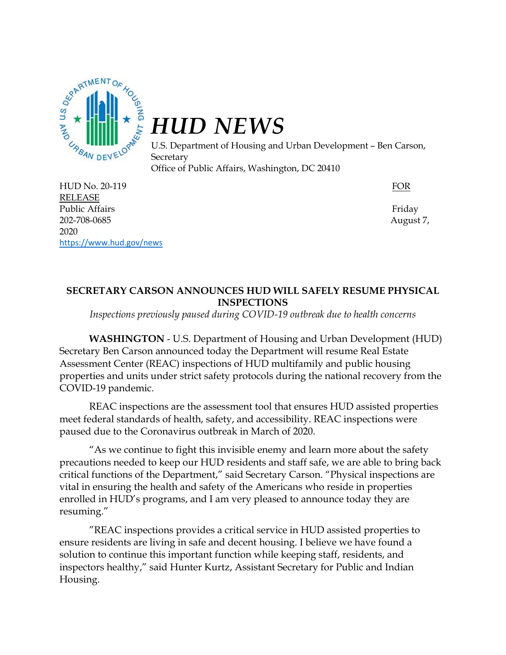

## *HUD NEWS*

U.S. Department of Housing and Urban Development – Ben Carson, **Secretary** Office of Public Affairs, Washington, DC 20410

HUD No. 20-119 FOR RELEASE Public Affairs Friday 202-708-0685 August 7, 2020 <https://www.hud.gov/news>

## **SECRETARY CARSON ANNOUNCES HUD WILL SAFELY RESUME PHYSICAL INSPECTIONS**

*Inspections previously paused during COVID-19 outbreak due to health concerns*

**WASHINGTON** - U.S. Department of Housing and Urban Development (HUD) Secretary Ben Carson announced today the Department will resume Real Estate Assessment Center (REAC) inspections of HUD multifamily and public housing properties and units under strict safety protocols during the national recovery from the COVID-19 pandemic.

REAC inspections are the assessment tool that ensures HUD assisted properties meet federal standards of health, safety, and accessibility. REAC inspections were paused due to the Coronavirus outbreak in March of 2020.

"As we continue to fight this invisible enemy and learn more about the safety precautions needed to keep our HUD residents and staff safe, we are able to bring back critical functions of the Department," said Secretary Carson. "Physical inspections are vital in ensuring the health and safety of the Americans who reside in properties enrolled in HUD's programs, and I am very pleased to announce today they are resuming."

"REAC inspections provides a critical service in HUD assisted properties to ensure residents are living in safe and decent housing. I believe we have found a solution to continue this important function while keeping staff, residents, and inspectors healthy," said Hunter Kurtz, Assistant Secretary for Public and Indian Housing.